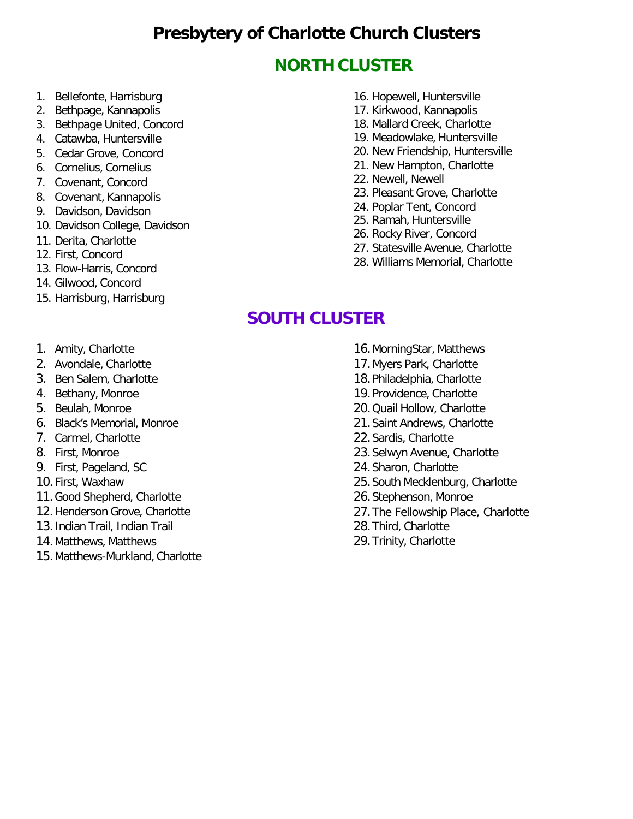## **Presbytery of Charlotte Church Clusters**

## **NORTH CLUSTER**

- 1. Bellefonte, Harrisburg
- 2. Bethpage, Kannapolis
- 3. Bethpage United, Concord
- 4. Catawba, Huntersville
- 5. Cedar Grove, Concord
- 6. Cornelius, Cornelius
- 7. Covenant, Concord
- 8. Covenant, Kannapolis
- 9. Davidson, Davidson
- 10. Davidson College, Davidson
- 11. Derita, Charlotte
- 12. First, Concord
- 13. Flow-Harris, Concord
- 14. Gilwood, Concord
- 15. Harrisburg, Harrisburg
- 16. Hopewell, Huntersville
- 17. Kirkwood, Kannapolis
- 18. Mallard Creek, Charlotte
- 19. Meadowlake, Huntersville
- 20. New Friendship, Huntersville
- 21. New Hampton, Charlotte
- 22. Newell, Newell
- 23. Pleasant Grove, Charlotte
- 24. Poplar Tent, Concord
- 25. Ramah, Huntersville
- 26. Rocky River, Concord
- 27. Statesville Avenue, Charlotte
- 28. Williams Memorial, Charlotte

#### **SOUTH CLUSTER**

- 1. Amity, Charlotte
- 2. Avondale, Charlotte
- 3. Ben Salem, Charlotte
- 4. Bethany, Monroe
- 5. Beulah, Monroe
- 6. Black's Memorial, Monroe
- 7. Carmel, Charlotte
- 8. First, Monroe
- 9. First, Pageland, SC
- 10.First, Waxhaw
- 11.Good Shepherd, Charlotte
- 12.Henderson Grove, Charlotte
- 13.Indian Trail, Indian Trail
- 14.Matthews, Matthews
- 15.Matthews-Murkland, Charlotte
- 16.MorningStar, Matthews
- 17.Myers Park, Charlotte
- 18.Philadelphia, Charlotte
- 19.Providence, Charlotte
- 20.Quail Hollow, Charlotte
- 21.Saint Andrews, Charlotte
- 22.Sardis, Charlotte
- 23.Selwyn Avenue, Charlotte
- 24.Sharon, Charlotte
- 25.South Mecklenburg, Charlotte
- 26.Stephenson, Monroe
- 27.The Fellowship Place, Charlotte
- 28.Third, Charlotte
- 29.Trinity, Charlotte